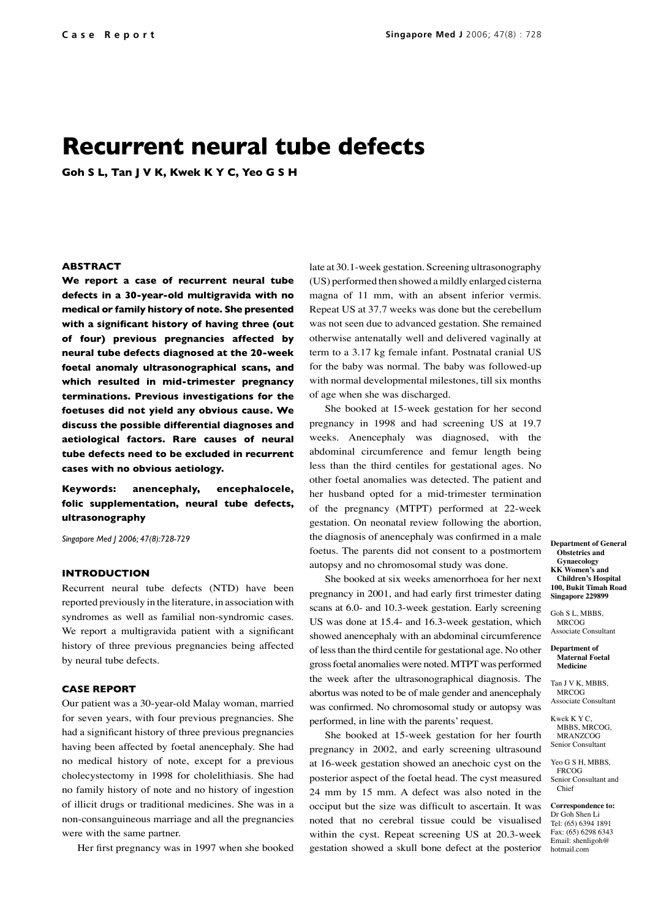# **Recurrent neural tube defects**

**Goh S L, Tan J V K, Kwek K Y C, Yeo G S H**

### **ABSTRACT**

**We report a case of recurrent neural tube defects in a 30-year-old multigravida with no medical or family history of note. She presented with a significant history of having three (out of four) previous pregnancies affected by neural tube defects diagnosed at the 20-week foetal anomaly ultrasonographical scans, and which resulted in mid-trimester pregnancy terminations. Previous investigations for the foetuses did not yield any obvious cause. We discuss the possible differential diagnoses and aetiological factors. Rare causes of neural tube defects need to be excluded in recurrent cases with no obvious aetiology.** 

**Keywords: anencephaly, encephalocele, folic supplementation, neural tube defects, ultrasonography**

*Singapore Med J 2006; 47(8):728-729*

## **INTRODUCTION**

Recurrent neural tube defects (NTD) have been reported previously in the literature, in association with syndromes as well as familial non-syndromic cases. We report a multigravida patient with a significant history of three previous pregnancies being affected by neural tube defects.

# **CASE REPORT**

Our patient was a 30-year-old Malay woman, married for seven years, with four previous pregnancies. She had a significant history of three previous pregnancies having been affected by foetal anencephaly. She had no medical history of note, except for a previous cholecystectomy in 1998 for cholelithiasis. She had no family history of note and no history of ingestion of illicit drugs or traditional medicines. She was in a non-consanguineous marriage and all the pregnancies were with the same partner.

Her first pregnancy was in 1997 when she booked

late at 30.1-week gestation. Screening ultrasonography (US) performed then showed a mildly enlarged cisterna magna of 11 mm, with an absent inferior vermis. Repeat US at 37.7 weeks was done but the cerebellum was not seen due to advanced gestation. She remained otherwise antenatally well and delivered vaginally at term to a 3.17 kg female infant. Postnatal cranial US for the baby was normal. The baby was followed-up with normal developmental milestones, till six months of age when she was discharged.

She booked at 15-week gestation for her second pregnancy in 1998 and had screening US at 19.7 weeks. Anencephaly was diagnosed, with the abdominal circumference and femur length being less than the third centiles for gestational ages. No other foetal anomalies was detected. The patient and her husband opted for a mid-trimester termination of the pregnancy (MTPT) performed at 22-week gestation. On neonatal review following the abortion, the diagnosis of anencephaly was confirmed in a male foetus. The parents did not consent to a postmortem autopsy and no chromosomal study was done.

She booked at six weeks amenorrhoea for her next pregnancy in 2001, and had early first trimester dating scans at 6.0- and 10.3-week gestation. Early screening US was done at 15.4- and 16.3-week gestation, which showed anencephaly with an abdominal circumference of less than the third centile for gestational age. No other gross foetal anomalies were noted. MTPT was performed the week after the ultrasonographical diagnosis. The abortus was noted to be of male gender and anencephaly was confirmed. No chromosomal study or autopsy was performed, in line with the parents' request.

She booked at 15-week gestation for her fourth pregnancy in 2002, and early screening ultrasound at 16-week gestation showed an anechoic cyst on the posterior aspect of the foetal head. The cyst measured 24 mm by 15 mm. A defect was also noted in the occiput but the size was difficult to ascertain. It was noted that no cerebral tissue could be visualised within the cyst. Repeat screening US at 20.3-week gestation showed a skull bone defect at the posterior

**Department of General Obstetrics and Gynaecology KK Women's and Children's Hospital 100, Bukit Timah Road Singapore 229899**

Goh S L, MBBS, MRCOG Associate Consultant

**Department of Maternal Foetal Medicine**

Tan J V K, MBBS MRCOG Associate Consultant

Kwek K Y C, MBBS, MRCOG, MRANZCOG Senior Consultant

Yeo G S H, MBBS, FRCOG Senior Consultant and Chief

**Correspondence to:** Dr Goh Shen Li Tel: (65) 6394 1891 Fax: (65) 6298 6343 Email: shenligoh@ hotmail.com